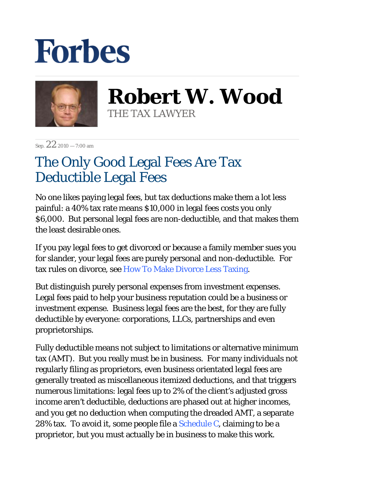## **Forbes**



**Robert W. Wood** THE TAX LAWYER

Sep. 22 2010 — 7:00 am

## The Only Good Legal Fees Are Tax Deductible Legal Fees

No one likes paying legal fees, but tax deductions make them a lot less painful: a 40% tax rate means \$10,000 in legal fees costs you only \$6,000. But personal legal fees are non-deductible, and that makes them the least desirable ones.

If you pay legal fees to get divorced or because a family member sues you for slander, your legal fees are purely personal and non-deductible. For tax rules on divorce, see How To Make Divorce Less Taxing.

But distinguish purely personal expenses from investment expenses. Legal fees paid to help your business reputation could be a business or investment expense. Business legal fees are the best, for they are fully deductible by everyone: corporations, LLCs, partnerships and even proprietorships.

Fully deductible means not subject to limitations or alternative minimum tax (AMT). But you really must be in business. For many individuals not regularly filing as proprietors, even business orientated legal fees are generally treated as miscellaneous itemized deductions, and that triggers numerous limitations: legal fees up to 2% of the client's adjusted gross income aren't deductible, deductions are phased out at higher incomes, and you get no deduction when computing the dreaded AMT, a separate 28% tax. To avoid it, some people file a  $S$ chedule C, claiming to be a proprietor, but you must actually be in business to make this work.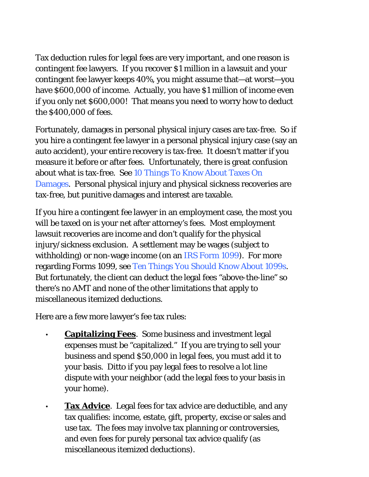Tax deduction rules for legal fees are very important, and one reason is *contingent* fee lawyers. If you recover \$1 million in a lawsuit and your contingent fee lawyer keeps 40%, you might assume that—at worst—you have \$600,000 of income. Actually, you have \$1 million of income even if you only net \$600,000! That means you need to worry how to deduct the \$400,000 of fees.

Fortunately, damages in personal physical injury cases are tax-free. So if you hire a contingent fee lawyer in a personal physical injury case (say an auto accident), your *entire* recovery is tax-free. It doesn't matter if you measure it before or after fees. Unfortunately, there is great confusion about what is tax-free. See 10 Things To Know About Taxes On Damages. Personal physical injury and physical sickness recoveries are tax-free, but punitive damages and interest are taxable.

If you hire a contingent fee lawyer in an employment case, the most you will be taxed on is your net after attorney's fees. Most employment lawsuit recoveries are income and don't qualify for the physical injury/sickness exclusion. A settlement may be wages (subject to withholding) or non-wage income (on an IRS Form 1099). For more regarding Forms 1099, see Ten Things You Should Know About 1099s. But fortunately, the client can deduct the legal fees "above-the-line" so there's no AMT and none of the other limitations that apply to miscellaneous itemized deductions.

Here are a few more lawyer's fee tax rules:

•

•

- **Capitalizing Fees**. Some business and investment legal expenses must be "capitalized." If you are trying to sell your business and spend \$50,000 in legal fees, you must add it to your basis. Ditto if you pay legal fees to resolve a lot line dispute with your neighbor (add the legal fees to your basis in your home).
- **Tax Advice**. Legal fees for tax advice are deductible, and any tax qualifies: income, estate, gift, property, excise or sales and use tax. The fees may involve tax planning or controversies, and even fees for purely personal tax advice qualify (as miscellaneous itemized deductions).